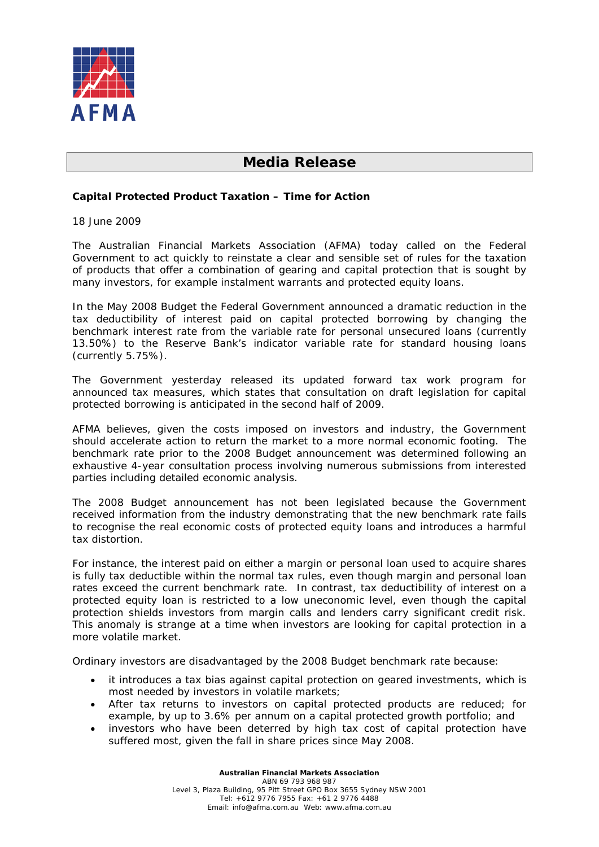

## **Media Release**

## **Capital Protected Product Taxation – Time for Action**

18 June 2009

The Australian Financial Markets Association (AFMA) today called on the Federal Government to act quickly to reinstate a clear and sensible set of rules for the taxation of products that offer a combination of gearing and capital protection that is sought by many investors, for example instalment warrants and protected equity loans.

In the May 2008 Budget the Federal Government announced a dramatic reduction in the tax deductibility of interest paid on capital protected borrowing by changing the benchmark interest rate from the variable rate for personal unsecured loans (currently 13.50%) to the Reserve Bank's indicator variable rate for standard housing loans (currently 5.75%).

The Government yesterday released its updated forward tax work program for announced tax measures, which states that consultation on draft legislation for capital protected borrowing is anticipated in the second half of 2009.

AFMA believes, given the costs imposed on investors and industry, the Government should accelerate action to return the market to a more normal economic footing. The benchmark rate prior to the 2008 Budget announcement was determined following an exhaustive 4-year consultation process involving numerous submissions from interested parties including detailed economic analysis.

The 2008 Budget announcement has not been legislated because the Government received information from the industry demonstrating that the new benchmark rate fails to recognise the real economic costs of protected equity loans and introduces a harmful tax distortion.

For instance, the interest paid on either a margin or personal loan used to acquire shares is fully tax deductible within the normal tax rules, even though margin and personal loan rates exceed the current benchmark rate. In contrast, tax deductibility of interest on a protected equity loan is restricted to a low uneconomic level, even though the capital protection shields investors from margin calls and lenders carry significant credit risk. This anomaly is strange at a time when investors are looking for capital protection in a more volatile market.

Ordinary investors are disadvantaged by the 2008 Budget benchmark rate because:

- it introduces a tax bias against capital protection on geared investments, which is most needed by investors in volatile markets;
- After tax returns to investors on capital protected products are reduced; for example, by up to 3.6% per annum on a capital protected growth portfolio; and
- investors who have been deterred by high tax cost of capital protection have suffered most, given the fall in share prices since May 2008.